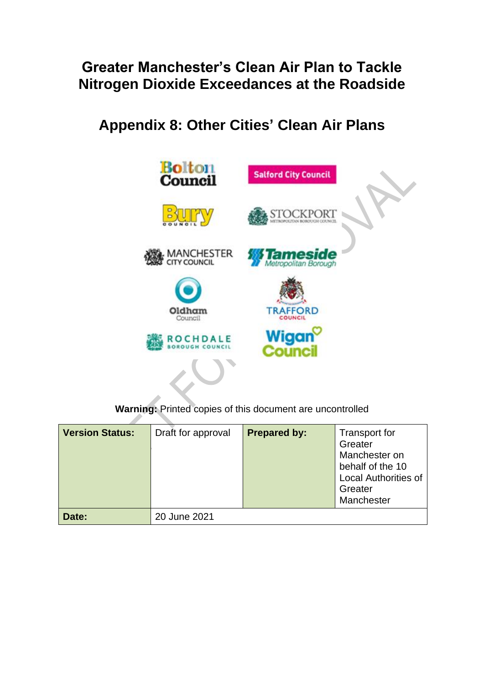## **Greater Manchester's Clean Air Plan to Tackle Nitrogen Dioxide Exceedances at the Roadside**

**Appendix 8: Other Cities' Clean Air Plans**



**Warning:** Printed copies of this document are uncontrolled

| <b>Version Status:</b> | Draft for approval | <b>Prepared by:</b> | <b>Transport for</b><br>Greater<br>Manchester on<br>behalf of the 10<br><b>Local Authorities of</b><br>Greater<br>Manchester |
|------------------------|--------------------|---------------------|------------------------------------------------------------------------------------------------------------------------------|
| Date:                  | 20 June 2021       |                     |                                                                                                                              |